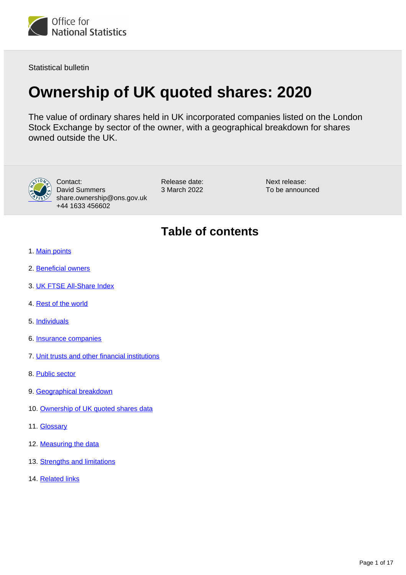

Statistical bulletin

# **Ownership of UK quoted shares: 2020**

The value of ordinary shares held in UK incorporated companies listed on the London Stock Exchange by sector of the owner, with a geographical breakdown for shares owned outside the UK.



Contact: David Summers share.ownership@ons.gov.uk +44 1633 456602

Release date: 3 March 2022

Next release: To be announced

# **Table of contents**

- 1. [Main points](#page-1-0)
- 2. [Beneficial owners](#page-2-0)
- 3. [UK FTSE All-Share Index](#page-5-0)
- 4. [Rest of the world](#page-7-0)
- 5. [Individuals](#page-8-0)
- 6. [Insurance companies](#page-9-0)
- 7. [Unit trusts and other financial institutions](#page-10-0)
- 8. [Public sector](#page-12-0)
- 9. [Geographical breakdown](#page-13-0)
- 10. [Ownership of UK quoted shares data](#page-14-0)
- 11. [Glossary](#page-14-1)
- 12. [Measuring the data](#page-15-0)
- 13. [Strengths and limitations](#page-16-0)
- 14. [Related links](#page-16-1)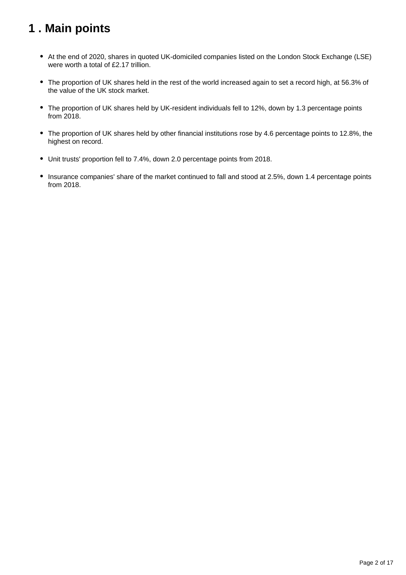# <span id="page-1-0"></span>**1 . Main points**

- At the end of 2020, shares in quoted UK-domiciled companies listed on the London Stock Exchange (LSE) were worth a total of £2.17 trillion.
- The proportion of UK shares held in the rest of the world increased again to set a record high, at 56.3% of the value of the UK stock market.
- The proportion of UK shares held by UK-resident individuals fell to 12%, down by 1.3 percentage points from 2018.
- The proportion of UK shares held by other financial institutions rose by 4.6 percentage points to 12.8%, the highest on record.
- Unit trusts' proportion fell to 7.4%, down 2.0 percentage points from 2018.
- Insurance companies' share of the market continued to fall and stood at 2.5%, down 1.4 percentage points from 2018.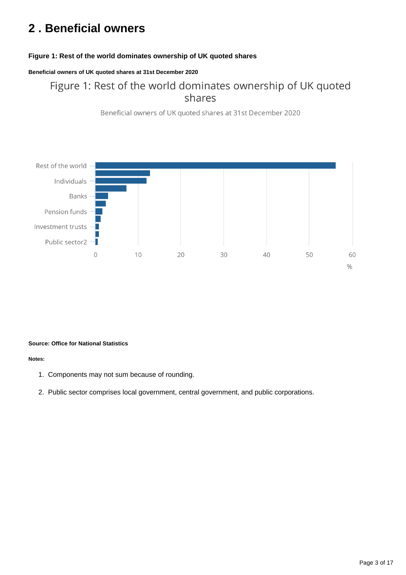# <span id="page-2-0"></span>**2 . Beneficial owners**

### **Figure 1: Rest of the world dominates ownership of UK quoted shares**

### **Beneficial owners of UK quoted shares at 31st December 2020**

## Figure 1: Rest of the world dominates ownership of UK quoted shares

Beneficial owners of UK quoted shares at 31st December 2020



#### **Source: Office for National Statistics**

#### **Notes:**

- 1. Components may not sum because of rounding.
- 2. Public sector comprises local government, central government, and public corporations.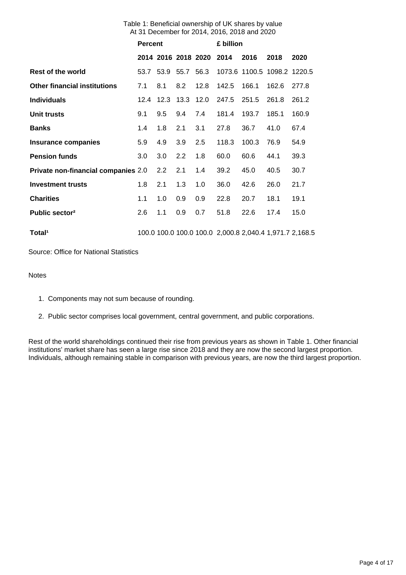| Table 1: Beneficial ownership of UK shares by value |  |
|-----------------------------------------------------|--|
| At 31 December for 2014, 2016, 2018 and 2020        |  |

|                                            | <b>Percent</b> |     |                | £ billion                |                                                         |                             |       |       |
|--------------------------------------------|----------------|-----|----------------|--------------------------|---------------------------------------------------------|-----------------------------|-------|-------|
|                                            |                |     |                | 2014 2016 2018 2020 2014 |                                                         | 2016                        | 2018  | 2020  |
| Rest of the world                          |                |     | 53.7 53.9 55.7 | 56.3                     |                                                         | 1073.6 1100.5 1098.2 1220.5 |       |       |
| <b>Other financial institutions</b>        | 7.1            | 8.1 | 8.2            | 12.8                     | 142.5                                                   | 166.1                       | 162.6 | 277.8 |
| <b>Individuals</b>                         | 12.4           |     | 12.3 13.3 12.0 |                          | 247.5                                                   | 251.5                       | 261.8 | 261.2 |
| Unit trusts                                | 9.1            | 9.5 | 9.4            | 7.4                      | 181.4                                                   | 193.7                       | 185.1 | 160.9 |
| <b>Banks</b>                               | 1.4            | 1.8 | 2.1            | 3.1                      | 27.8                                                    | 36.7                        | 41.0  | 67.4  |
| <b>Insurance companies</b>                 | 5.9            | 4.9 | 3.9            | 2.5                      | 118.3                                                   | 100.3                       | 76.9  | 54.9  |
| <b>Pension funds</b>                       | 3.0            | 3.0 | 2.2            | 1.8                      | 60.0                                                    | 60.6                        | 44.1  | 39.3  |
| <b>Private non-financial companies 2.0</b> |                | 2.2 | 2.1            | 1.4                      | 39.2                                                    | 45.0                        | 40.5  | 30.7  |
| <b>Investment trusts</b>                   | 1.8            | 2.1 | 1.3            | 1.0                      | 36.0                                                    | 42.6                        | 26.0  | 21.7  |
| <b>Charities</b>                           | 1.1            | 1.0 | 0.9            | 0.9                      | 22.8                                                    | 20.7                        | 18.1  | 19.1  |
| Public sector <sup>2</sup>                 | 2.6            | 1.1 | 0.9            | 0.7                      | 51.8                                                    | 22.6                        | 17.4  | 15.0  |
| Total <sup>1</sup>                         |                |     |                |                          | 100.0 100.0 100.0 100.0 2,000.8 2,040.4 1,971.7 2,168.5 |                             |       |       |

Source: Office for National Statistics

Notes

- 1. Components may not sum because of rounding.
- 2. Public sector comprises local government, central government, and public corporations.

Rest of the world shareholdings continued their rise from previous years as shown in Table 1. Other financial institutions' market share has seen a large rise since 2018 and they are now the second largest proportion. Individuals, although remaining stable in comparison with previous years, are now the third largest proportion.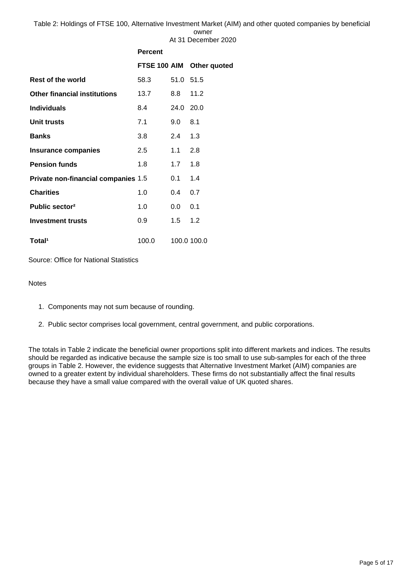Table 2: Holdings of FTSE 100, Alternative Investment Market (AIM) and other quoted companies by beneficial owner

|                                     |                |           | At 31 December 2020       |
|-------------------------------------|----------------|-----------|---------------------------|
|                                     | <b>Percent</b> |           |                           |
|                                     |                |           | FTSE 100 AIM Other quoted |
| <b>Rest of the world</b>            | 58.3           | 51.0 51.5 |                           |
| <b>Other financial institutions</b> | 13.7           | 8.8       | 11.2                      |
| <b>Individuals</b>                  | 8.4            | 24.0 20.0 |                           |
| Unit trusts                         | 7.1            | 9.0       | 8.1                       |
| Banks                               | 3.8            | 2.4       | 1.3                       |
| <b>Insurance companies</b>          | 2.5            | 1.1       | 2.8                       |
| <b>Pension funds</b>                | 1.8            | 1.7       | 1.8                       |
| Private non-financial companies 1.5 |                | 0.1       | 1.4                       |
| <b>Charities</b>                    | 1.0            | 0.4       | 0.7                       |
| Public sector <sup>2</sup>          | 1.0            | $0.0\,$   | 0.1                       |
| <b>Investment trusts</b>            | 0.9            | 1.5       | 1.2                       |
| Total <sup>1</sup>                  | 100.0          |           | 100.0 100.0               |

Source: Office for National Statistics

### **Notes**

- 1. Components may not sum because of rounding.
- 2. Public sector comprises local government, central government, and public corporations.

The totals in Table 2 indicate the beneficial owner proportions split into different markets and indices. The results should be regarded as indicative because the sample size is too small to use sub-samples for each of the three groups in Table 2. However, the evidence suggests that Alternative Investment Market (AIM) companies are owned to a greater extent by individual shareholders. These firms do not substantially affect the final results because they have a small value compared with the overall value of UK quoted shares.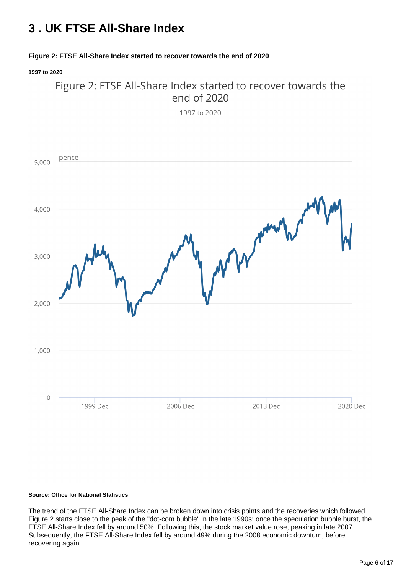# <span id="page-5-0"></span>**3 . UK FTSE All-Share Index**

### **Figure 2: FTSE All-Share Index started to recover towards the end of 2020**

**1997 to 2020**



#### **Source: Office for National Statistics**

The trend of the FTSE All-Share Index can be broken down into crisis points and the recoveries which followed. Figure 2 starts close to the peak of the "dot-com bubble" in the late 1990s; once the speculation bubble burst, the FTSE All-Share Index fell by around 50%. Following this, the stock market value rose, peaking in late 2007. Subsequently, the FTSE All-Share Index fell by around 49% during the 2008 economic downturn, before recovering again.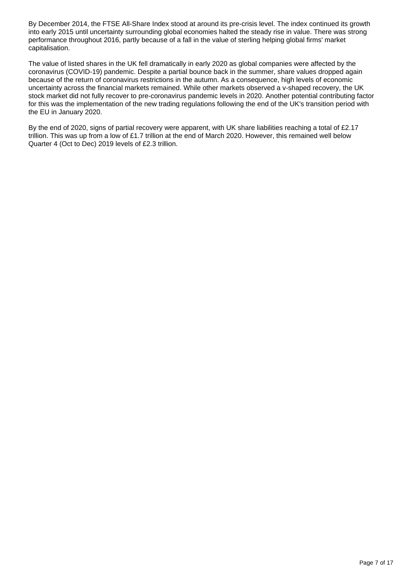By December 2014, the FTSE All-Share Index stood at around its pre-crisis level. The index continued its growth into early 2015 until uncertainty surrounding global economies halted the steady rise in value. There was strong performance throughout 2016, partly because of a fall in the value of sterling helping global firms' market capitalisation.

The value of listed shares in the UK fell dramatically in early 2020 as global companies were affected by the coronavirus (COVID-19) pandemic. Despite a partial bounce back in the summer, share values dropped again because of the return of coronavirus restrictions in the autumn. As a consequence, high levels of economic uncertainty across the financial markets remained. While other markets observed a v-shaped recovery, the UK stock market did not fully recover to pre-coronavirus pandemic levels in 2020. Another potential contributing factor for this was the implementation of the new trading regulations following the end of the UK's transition period with the EU in January 2020.

By the end of 2020, signs of partial recovery were apparent, with UK share liabilities reaching a total of £2.17 trillion. This was up from a low of £1.7 trillion at the end of March 2020. However, this remained well below Quarter 4 (Oct to Dec) 2019 levels of £2.3 trillion.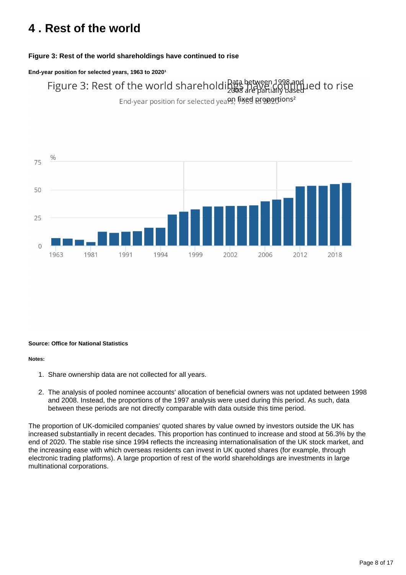# <span id="page-7-0"></span>**4 . Rest of the world**

### **Figure 3: Rest of the world shareholdings have continued to rise**

#### End-year position for selected years, 1963 to 2020<sup>1</sup>

Figure 3: Rest of the world shareholding are have 1998 and led to rise

End-year position for selected yea<sup>09</sup>, figed proportions<sup>2</sup>



#### **Source: Office for National Statistics**

#### **Notes:**

- 1. Share ownership data are not collected for all years.
- 2. The analysis of pooled nominee accounts' allocation of beneficial owners was not updated between 1998 and 2008. Instead, the proportions of the 1997 analysis were used during this period. As such, data between these periods are not directly comparable with data outside this time period.

The proportion of UK-domiciled companies' quoted shares by value owned by investors outside the UK has increased substantially in recent decades. This proportion has continued to increase and stood at 56.3% by the end of 2020. The stable rise since 1994 reflects the increasing internationalisation of the UK stock market, and the increasing ease with which overseas residents can invest in UK quoted shares (for example, through electronic trading platforms). A large proportion of rest of the world shareholdings are investments in large multinational corporations.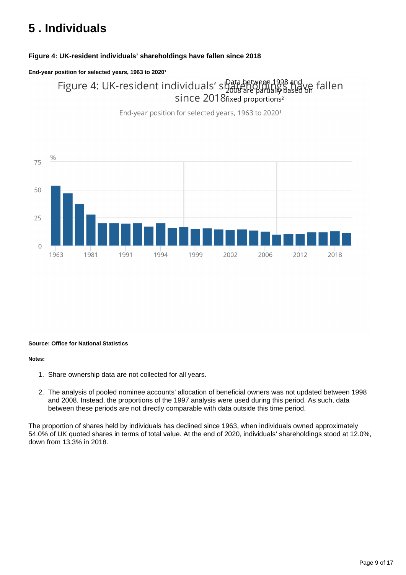# <span id="page-8-0"></span>**5 . Individuals**

### **Figure 4: UK-resident individuals' shareholdings have fallen since 2018**

### End-year position for selected years, 1963 to 2020<sup>1</sup>

Figure 4: UK-resident individuals' since 2018 are partially based on fallen<br>since 2018 fixed proportions<sup>2</sup>

End-year position for selected years, 1963 to 2020<sup>1</sup>



### **Source: Office for National Statistics**

#### **Notes:**

- 1. Share ownership data are not collected for all years.
- 2. The analysis of pooled nominee accounts' allocation of beneficial owners was not updated between 1998 and 2008. Instead, the proportions of the 1997 analysis were used during this period. As such, data between these periods are not directly comparable with data outside this time period.

The proportion of shares held by individuals has declined since 1963, when individuals owned approximately 54.0% of UK quoted shares in terms of total value. At the end of 2020, individuals' shareholdings stood at 12.0%, down from 13.3% in 2018.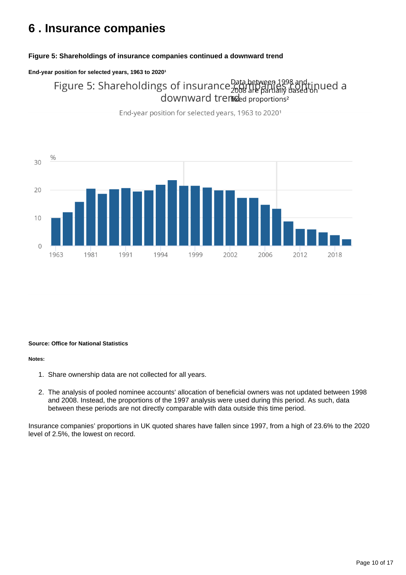## <span id="page-9-0"></span>**6 . Insurance companies**

### **Figure 5: Shareholdings of insurance companies continued a downward trend**

#### End-year position for selected years, 1963 to 2020<sup>1</sup>

Figure 5: Shareholdings of insurance Data between 1998 and tinued a  $\alpha$  downward tremised proportions<sup>2</sup>



End-year position for selected years, 1963 to 2020<sup>1</sup>

#### **Source: Office for National Statistics**

#### **Notes:**

- 1. Share ownership data are not collected for all years.
- 2. The analysis of pooled nominee accounts' allocation of beneficial owners was not updated between 1998 and 2008. Instead, the proportions of the 1997 analysis were used during this period. As such, data between these periods are not directly comparable with data outside this time period.

Insurance companies' proportions in UK quoted shares have fallen since 1997, from a high of 23.6% to the 2020 level of 2.5%, the lowest on record.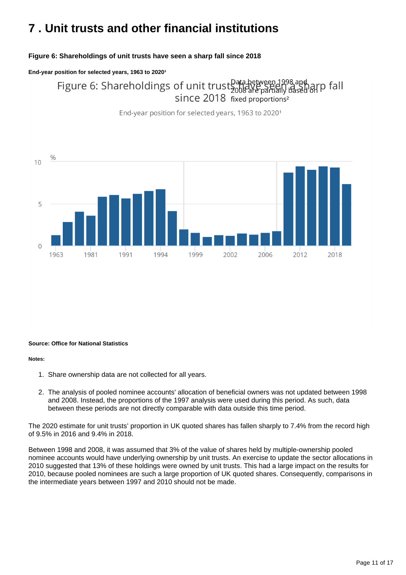# <span id="page-10-0"></span>**7 . Unit trusts and other financial institutions**

### **Figure 6: Shareholdings of unit trusts have seen a sharp fall since 2018**

#### End-year position for selected years, 1963 to 2020<sup>1</sup>

Figure 6: Shareholdings of unit trust bata between 1998 and arp fall  $\frac{2008}{3}$  are partially since 2018 fixed proportions<sup>2</sup>

End-year position for selected years, 1963 to 2020<sup>1</sup>



#### **Source: Office for National Statistics**

#### **Notes:**

- 1. Share ownership data are not collected for all years.
- 2. The analysis of pooled nominee accounts' allocation of beneficial owners was not updated between 1998 and 2008. Instead, the proportions of the 1997 analysis were used during this period. As such, data between these periods are not directly comparable with data outside this time period.

The 2020 estimate for unit trusts' proportion in UK quoted shares has fallen sharply to 7.4% from the record high of 9.5% in 2016 and 9.4% in 2018.

Between 1998 and 2008, it was assumed that 3% of the value of shares held by multiple-ownership pooled nominee accounts would have underlying ownership by unit trusts. An exercise to update the sector allocations in 2010 suggested that 13% of these holdings were owned by unit trusts. This had a large impact on the results for 2010, because pooled nominees are such a large proportion of UK quoted shares. Consequently, comparisons in the intermediate years between 1997 and 2010 should not be made.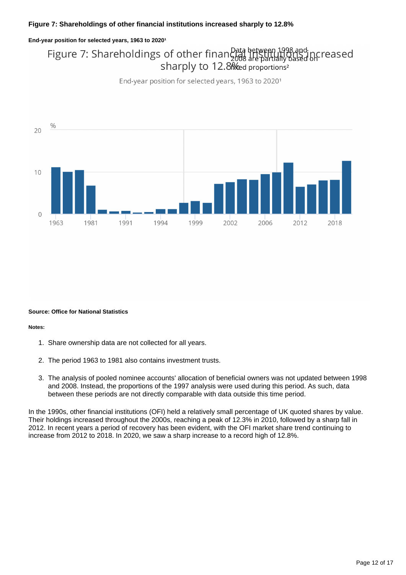#### End-year position for selected years, 1963 to 2020<sup>1</sup>

## Figure 7: Shareholdings of other finance are between 1998 and pcreased sharply to 12.8 and proportions<sup>2</sup>

End-year position for selected years, 1963 to 2020<sup>1</sup>



#### **Source: Office for National Statistics**

#### **Notes:**

- 1. Share ownership data are not collected for all years.
- 2. The period 1963 to 1981 also contains investment trusts.
- 3. The analysis of pooled nominee accounts' allocation of beneficial owners was not updated between 1998 and 2008. Instead, the proportions of the 1997 analysis were used during this period. As such, data between these periods are not directly comparable with data outside this time period.

In the 1990s, other financial institutions (OFI) held a relatively small percentage of UK quoted shares by value. Their holdings increased throughout the 2000s, reaching a peak of 12.3% in 2010, followed by a sharp fall in 2012. In recent years a period of recovery has been evident, with the OFI market share trend continuing to increase from 2012 to 2018. In 2020, we saw a sharp increase to a record high of 12.8%.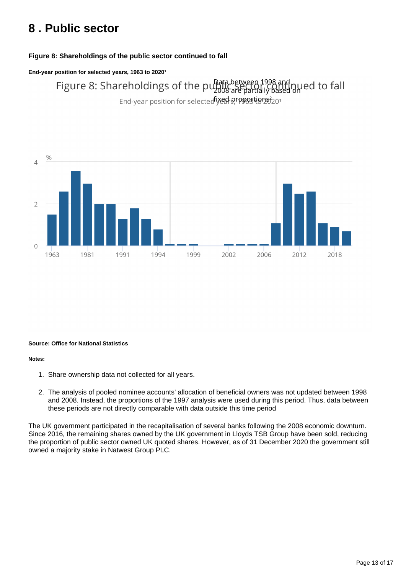# <span id="page-12-0"></span>**8 . Public sector**

### **Figure 8: Shareholdings of the public sector continued to fall**

End-year position for selected years, 1963 to 2020<sup>1</sup>

Figure 8: Shareholdings of the pullate between 1998 and nued to fall End-year position for selected iyed proportion 8201



#### **Source: Office for National Statistics**

#### **Notes:**

- 1. Share ownership data not collected for all years.
- 2. The analysis of pooled nominee accounts' allocation of beneficial owners was not updated between 1998 and 2008. Instead, the proportions of the 1997 analysis were used during this period. Thus, data between these periods are not directly comparable with data outside this time period

The UK government participated in the recapitalisation of several banks following the 2008 economic downturn. Since 2016, the remaining shares owned by the UK government in Lloyds TSB Group have been sold, reducing the proportion of public sector owned UK quoted shares. However, as of 31 December 2020 the government still owned a majority stake in Natwest Group PLC.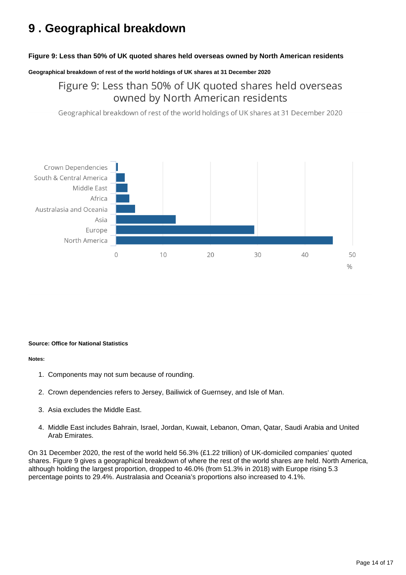# <span id="page-13-0"></span>**9 . Geographical breakdown**

### **Figure 9: Less than 50% of UK quoted shares held overseas owned by North American residents**

**Geographical breakdown of rest of the world holdings of UK shares at 31 December 2020**

Figure 9: Less than 50% of UK quoted shares held overseas owned by North American residents

Geographical breakdown of rest of the world holdings of UK shares at 31 December 2020



#### **Source: Office for National Statistics**

#### **Notes:**

- 1. Components may not sum because of rounding.
- 2. Crown dependencies refers to Jersey, Bailiwick of Guernsey, and Isle of Man.
- 3. Asia excludes the Middle East.
- 4. Middle East includes Bahrain, Israel, Jordan, Kuwait, Lebanon, Oman, Qatar, Saudi Arabia and United Arab Emirates.

On 31 December 2020, the rest of the world held 56.3% (£1.22 trillion) of UK-domiciled companies' quoted shares. Figure 9 gives a geographical breakdown of where the rest of the world shares are held. North America, although holding the largest proportion, dropped to 46.0% (from 51.3% in 2018) with Europe rising 5.3 percentage points to 29.4%. Australasia and Oceania's proportions also increased to 4.1%.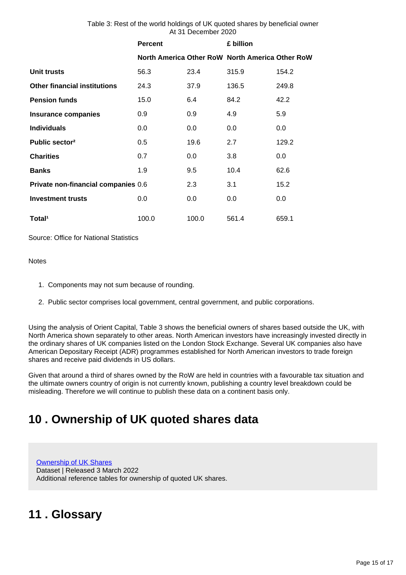| Table 3: Rest of the world holdings of UK quoted shares by beneficial owner |  |
|-----------------------------------------------------------------------------|--|
| At 31 December 2020                                                         |  |

**Percent £ billion**

|                                     |       |       | North America Other RoW North America Other RoW |         |
|-------------------------------------|-------|-------|-------------------------------------------------|---------|
| Unit trusts                         | 56.3  | 23.4  | 315.9                                           | 154.2   |
| <b>Other financial institutions</b> | 24.3  | 37.9  | 136.5                                           | 249.8   |
| <b>Pension funds</b>                | 15.0  | 6.4   | 84.2                                            | 42.2    |
| <b>Insurance companies</b>          | 0.9   | 0.9   | 4.9                                             | 5.9     |
| <b>Individuals</b>                  | 0.0   | 0.0   | 0.0                                             | $0.0\,$ |
| Public sector <sup>2</sup>          | 0.5   | 19.6  | 2.7                                             | 129.2   |
| <b>Charities</b>                    | 0.7   | 0.0   | 3.8                                             | $0.0\,$ |
| <b>Banks</b>                        | 1.9   | 9.5   | 10.4                                            | 62.6    |
| Private non-financial companies 0.6 |       | 2.3   | 3.1                                             | 15.2    |
| <b>Investment trusts</b>            | 0.0   | 0.0   | 0.0                                             | $0.0\,$ |
| Total <sup>1</sup>                  | 100.0 | 100.0 | 561.4                                           | 659.1   |

Source: Office for National Statistics

#### **Notes**

- 1. Components may not sum because of rounding.
- 2. Public sector comprises local government, central government, and public corporations.

Using the analysis of Orient Capital, Table 3 shows the beneficial owners of shares based outside the UK, with North America shown separately to other areas. North American investors have increasingly invested directly in the ordinary shares of UK companies listed on the London Stock Exchange. Several UK companies also have American Depositary Receipt (ADR) programmes established for North American investors to trade foreign shares and receive paid dividends in US dollars.

Given that around a third of shares owned by the RoW are held in countries with a favourable tax situation and the ultimate owners country of origin is not currently known, publishing a country level breakdown could be misleading. Therefore we will continue to publish these data on a continent basis only.

# <span id="page-14-0"></span>**10 . Ownership of UK quoted shares data**

[Ownership of UK Shares](https://www.ons.gov.uk/economy/investmentspensionsandtrusts/datasets/ownershipofukshares) Dataset | Released 3 March 2022 Additional reference tables for ownership of quoted UK shares.

# <span id="page-14-1"></span>**11 . Glossary**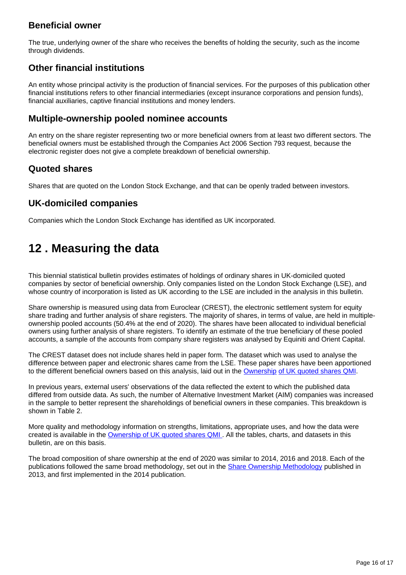### **Beneficial owner**

The true, underlying owner of the share who receives the benefits of holding the security, such as the income through dividends.

### **Other financial institutions**

An entity whose principal activity is the production of financial services. For the purposes of this publication other financial institutions refers to other financial intermediaries (except insurance corporations and pension funds), financial auxiliaries, captive financial institutions and money lenders.

### **Multiple-ownership pooled nominee accounts**

An entry on the share register representing two or more beneficial owners from at least two different sectors. The beneficial owners must be established through the Companies Act 2006 Section 793 request, because the electronic register does not give a complete breakdown of beneficial ownership.

### **Quoted shares**

Shares that are quoted on the London Stock Exchange, and that can be openly traded between investors.

### **UK-domiciled companies**

Companies which the London Stock Exchange has identified as UK incorporated.

# <span id="page-15-0"></span>**12 . Measuring the data**

This biennial statistical bulletin provides estimates of holdings of ordinary shares in UK-domiciled quoted companies by sector of beneficial ownership. Only companies listed on the London Stock Exchange (LSE), and whose country of incorporation is listed as UK according to the LSE are included in the analysis in this bulletin.

Share ownership is measured using data from Euroclear (CREST), the electronic settlement system for equity share trading and further analysis of share registers. The majority of shares, in terms of value, are held in multipleownership pooled accounts (50.4% at the end of 2020). The shares have been allocated to individual beneficial owners using further analysis of share registers. To identify an estimate of the true beneficiary of these pooled accounts, a sample of the accounts from company share registers was analysed by Equiniti and Orient Capital.

The CREST dataset does not include shares held in paper form. The dataset which was used to analyse the difference between paper and electronic shares came from the LSE. These paper shares have been apportioned to the different beneficial owners based on this analysis, laid out in the [Ownership](https://www.ons.gov.uk/economy/investmentspensionsandtrusts/methodologies/ownershipofukquotedsharesqmi) [of UK quoted shares QMI](https://www.ons.gov.uk/economy/investmentspensionsandtrusts/methodologies/ownershipofukquotedsharesqmi).

In previous years, external users' observations of the data reflected the extent to which the published data differed from outside data. As such, the number of Alternative Investment Market (AIM) companies was increased in the sample to better represent the shareholdings of beneficial owners in these companies. This breakdown is shown in Table 2.

More quality and methodology information on strengths, limitations, appropriate uses, and how the data were created is available in the [Ownership of UK quoted shares QMI .](https://www.ons.gov.uk/economy/investmentspensionsandtrusts/methodologies/ownershipofukquotedsharesqmi) All the tables, charts, and datasets in this bulletin, are on this basis.

The broad composition of share ownership at the end of 2020 was similar to 2014, 2016 and 2018. Each of the publications followed the same broad methodology, set out in the **Share Ownership Methodology** published in 2013, and first implemented in the 2014 publication.